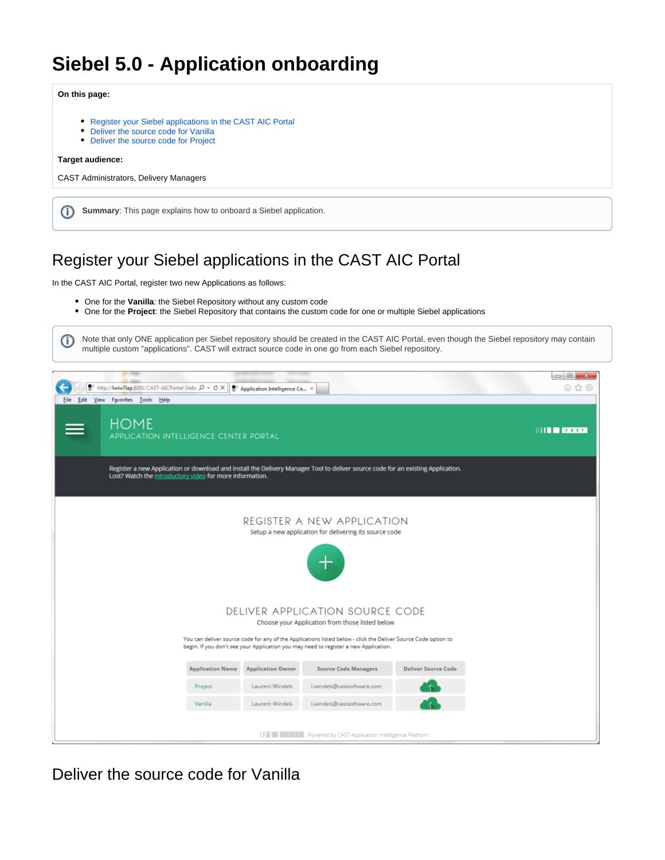# **Siebel 5.0 - Application onboarding**

**On this page:**

- [Register your Siebel applications in the CAST AIC Portal](#page-0-0)
- [Deliver the source code for Vanilla](#page-0-1)
- [Deliver the source code for Project](#page-5-0)

### **Target audience:**

CAST Administrators, Delivery Managers

```
Summary: This page explains how to onboard a Siebel application.
⋒
```
## <span id="page-0-0"></span>Register your Siebel applications in the CAST AIC Portal

In the CAST AIC Portal, register two new Applications as follows:

- One for the **Vanilla**: the Siebel Repository without any custom code
- One for the **Project**: the Siebel Repository that contains the custom code for one or multiple Siebel applications

Note that only ONE application per Siebel repository should be created in the CAST AIC Portal, even though the Siebel repository may contain Ф multiple custom "applications". CAST will extract source code in one go from each Siebel repository.

| http://lwiw7lap:8091/CAST-AICPortal-Siebt Q = C X                                                                                                                                                      | Application Intelligence Ce X |                             |                            | $\Box$ $\Box$ $\Box$<br>命☆@                                                                                    |  |  |  |  |
|--------------------------------------------------------------------------------------------------------------------------------------------------------------------------------------------------------|-------------------------------|-----------------------------|----------------------------|----------------------------------------------------------------------------------------------------------------|--|--|--|--|
| File Edit View Favorites Tools Help                                                                                                                                                                    |                               |                             |                            |                                                                                                                |  |  |  |  |
| <b>HOME</b><br>APPLICATION INTELLIGENCE CENTER PORTAL                                                                                                                                                  |                               |                             |                            | $\begin{array}{c c c c c c} \hline \textbf{H} & \textbf{G} & \textbf{A} & \textbf{S} & \textbf{T} \end{array}$ |  |  |  |  |
| Register a new Application or download and install the Delivery Manager Tool to deliver source code for an existing Application.<br>Lost? Watch the introductory video for more information.           |                               |                             |                            |                                                                                                                |  |  |  |  |
| REGISTER A NEW APPLICATION<br>Setup a new application for delivering its source code                                                                                                                   |                               |                             |                            |                                                                                                                |  |  |  |  |
|                                                                                                                                                                                                        |                               |                             |                            |                                                                                                                |  |  |  |  |
| DELIVER APPLICATION SOURCE CODE<br>Choose your Application from those listed below                                                                                                                     |                               |                             |                            |                                                                                                                |  |  |  |  |
| You can deliver source code for any of the Applications listed below - click the Deliver Source Code option to<br>begin. If you don't see your Application you may need to register a new Application. |                               |                             |                            |                                                                                                                |  |  |  |  |
| <b>Application Name</b>                                                                                                                                                                                | <b>Application Owner</b>      | <b>Source Code Managers</b> | <b>Deliver Source Code</b> |                                                                                                                |  |  |  |  |
| Project                                                                                                                                                                                                | Laurent Windels               | l.windels@castsoftware.com  |                            |                                                                                                                |  |  |  |  |
| Vanilla                                                                                                                                                                                                | <b>Laurent Windels</b>        | l.windels@castsoftware.com  |                            |                                                                                                                |  |  |  |  |
| <b>THE CONSTITUTE Powered by CAST Application Intelligence Platform</b>                                                                                                                                |                               |                             |                            |                                                                                                                |  |  |  |  |

<span id="page-0-1"></span>Deliver the source code for Vanilla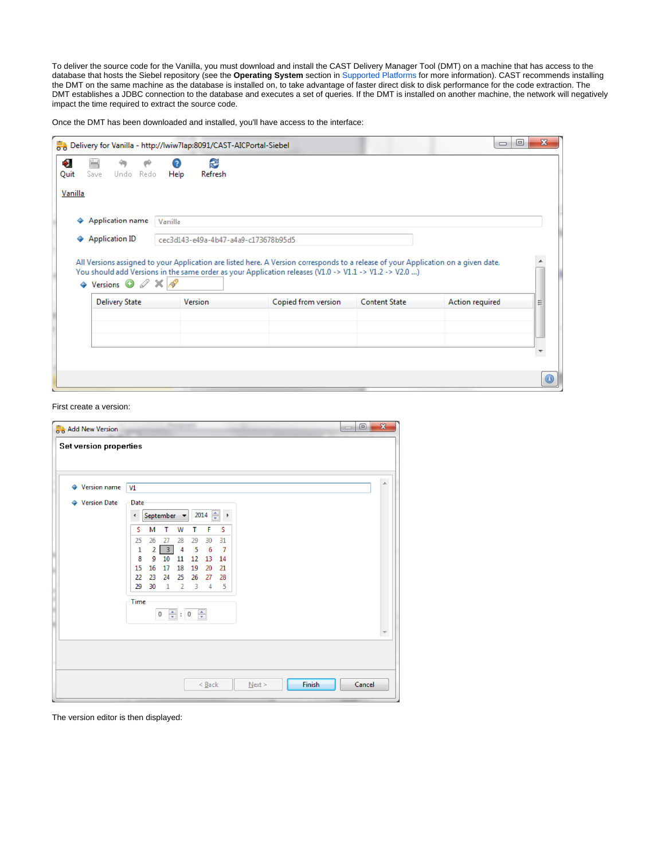To deliver the source code for the Vanilla, you must download and install the CAST Delivery Manager Tool (DMT) on a machine that has access to the database that hosts the Siebel repository (see the **Operating System** section in [Supported Platforms](http://doc.castsoftware.com/help/topic/73x/Supported-Platforms_568426666.html) for more information). CAST recommends installing the DMT on the same machine as the database is installed on, to take advantage of faster direct disk to disk performance for the code extraction. The DMT establishes a JDBC connection to the database and executes a set of queries. If the DMT is installed on another machine, the network will negatively impact the time required to extract the source code.

Once the DMT has been downloaded and installed, you'll have access to the interface:

| a<br>Save<br>Redo<br>Undo<br>Quit                                                             | Ø<br>Help | 2<br>Refresh                         |                                                                                                                                    |                      |                        |   |
|-----------------------------------------------------------------------------------------------|-----------|--------------------------------------|------------------------------------------------------------------------------------------------------------------------------------|----------------------|------------------------|---|
| Vanilla                                                                                       |           |                                      |                                                                                                                                    |                      |                        |   |
| <b>Application name</b><br>չ                                                                  | Vanilla   |                                      |                                                                                                                                    |                      |                        |   |
| <b>Application ID</b><br>٠                                                                    |           | cec3d143-e49a-4b47-a4a9-c173678b95d5 |                                                                                                                                    |                      |                        |   |
|                                                                                               |           |                                      | All Versions assigned to your Application are listed here. A Version corresponds to a release of your Application on a given date. |                      |                        |   |
| $\blacklozenge$ Versions $\bigcirc$ $\mathscr{S} \times \mathscr{A}$<br><b>Delivery State</b> |           | Version                              | You should add Versions in the same order as your Application releases (V1.0 -> V1.1 -> V1.2 -> V2.0 )<br>Copied from version      | <b>Content State</b> | <b>Action required</b> | Ξ |
|                                                                                               |           |                                      |                                                                                                                                    |                      |                        |   |
|                                                                                               |           |                                      |                                                                                                                                    |                      |                        |   |

#### First create a version:

| oo Add New Version               | $\mathbf{x}$<br>$\qquad \qquad \Box$<br>$\sim$                                                                                                                                                                                                                                                                                                                                                                                                                                                                  |  |
|----------------------------------|-----------------------------------------------------------------------------------------------------------------------------------------------------------------------------------------------------------------------------------------------------------------------------------------------------------------------------------------------------------------------------------------------------------------------------------------------------------------------------------------------------------------|--|
| <b>Set version properties</b>    |                                                                                                                                                                                                                                                                                                                                                                                                                                                                                                                 |  |
| ♦ Version name<br>♦ Version Date | V1<br>Date<br>$\epsilon$<br>2014<br>September <b>v</b><br>$\rightarrow$<br>s<br>М<br>т<br>W<br>F<br>s<br>т<br>25<br>28<br>29<br>30<br>26<br>27<br>31<br>$\overline{3}$<br>5<br>- 6<br>$\overline{2}$<br>4<br>$\overline{7}$<br>1<br>9<br>8<br>10<br>11<br>12<br>13<br>14<br>16<br>18<br>15<br>17<br>19<br>20<br>21<br>23<br>24<br>25<br>27<br>22<br>26<br>28<br>29<br>30<br>$\mathbf{1}$<br>$\overline{2}$<br>3<br>5<br>$\overline{4}$<br>Time<br>$\frac{1}{\sqrt{2}}$ : 0 $\frac{1}{\sqrt{2}}$<br>$\mathbf{0}$ |  |
|                                  | Finish<br>Cancel<br>$<$ Back<br>Next >                                                                                                                                                                                                                                                                                                                                                                                                                                                                          |  |

The version editor is then displayed: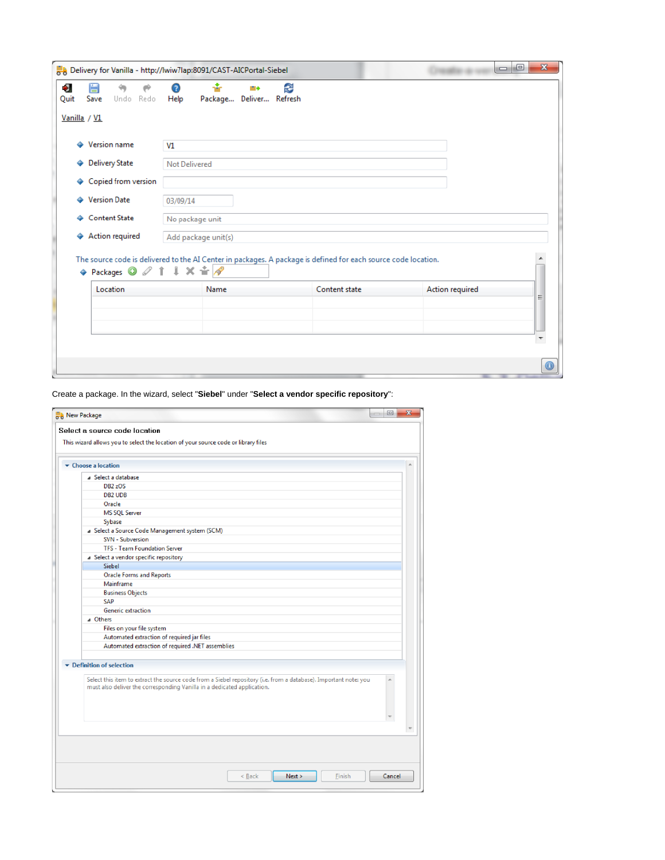|                            | b Delivery for Vanilla - http://lwiw7lap:8091/CAST-AICPortal-Siebel |                     |   |                   |                              |    |   |                                                                                                                |                        | $\mathbf{x}$   |
|----------------------------|---------------------------------------------------------------------|---------------------|---|-------------------|------------------------------|----|---|----------------------------------------------------------------------------------------------------------------|------------------------|----------------|
| ÷.<br>Quit<br>Vanilla / V1 | E<br>Save                                                           | Undo Redo           | ø | $\bullet$<br>Help | ÷<br>Package Deliver Refresh | 自主 | Ø |                                                                                                                |                        |                |
| ▵                          | <b>Version name</b>                                                 |                     |   | V1                |                              |    |   |                                                                                                                |                        |                |
|                            | ♦ Delivery State                                                    |                     |   | Not Delivered     |                              |    |   |                                                                                                                |                        |                |
| ٠                          |                                                                     | Copied from version |   |                   |                              |    |   |                                                                                                                |                        |                |
|                            | <b>Version Date</b>                                                 |                     |   | 03/09/14          |                              |    |   |                                                                                                                |                        |                |
|                            | ← Content State                                                     |                     |   |                   | No package unit              |    |   |                                                                                                                |                        |                |
|                            | ♦ Action required                                                   |                     |   |                   | Add package unit(s)          |    |   |                                                                                                                |                        |                |
|                            |                                                                     |                     |   |                   | ◆ Packages ◎ ∥ ↑ ↓ ※ 音 /     |    |   | The source code is delivered to the AI Center in packages. A package is defined for each source code location. |                        |                |
|                            | Location                                                            |                     |   |                   | Name                         |    |   | Content state                                                                                                  | <b>Action required</b> | E.             |
|                            |                                                                     |                     |   |                   |                              |    |   |                                                                                                                |                        |                |
|                            |                                                                     |                     |   |                   |                              |    |   |                                                                                                                |                        | ▼<br>$\bullet$ |

Create a package. In the wizard, select "**Siebel**" under "**Select a vendor specific repository**":

| This wizard allows you to select the location of your source code or library files                                                                                                          |
|---------------------------------------------------------------------------------------------------------------------------------------------------------------------------------------------|
| $\blacktriangleright$ Choose a location                                                                                                                                                     |
|                                                                                                                                                                                             |
| Select a database                                                                                                                                                                           |
| DB <sub>2</sub> zOS<br>DB2 UDB                                                                                                                                                              |
| Oracle                                                                                                                                                                                      |
| <b>MS SQL Server</b>                                                                                                                                                                        |
| Sybase                                                                                                                                                                                      |
| J Select a Source Code Management system (SCM)                                                                                                                                              |
| <b>SVN - Subversion</b>                                                                                                                                                                     |
| <b>TFS - Team Foundation Server</b>                                                                                                                                                         |
| Select a vendor specific repository                                                                                                                                                         |
| Siebel                                                                                                                                                                                      |
| <b>Oracle Forms and Reports</b>                                                                                                                                                             |
| Mainframe                                                                                                                                                                                   |
| <b>Business Objects</b>                                                                                                                                                                     |
| <b>SAP</b>                                                                                                                                                                                  |
| Generic extraction                                                                                                                                                                          |
| a Others                                                                                                                                                                                    |
| Files on your file system                                                                                                                                                                   |
| Automated extraction of required jar files                                                                                                                                                  |
| Automated extraction of required .NET assemblies                                                                                                                                            |
| $\blacktriangleright$ Definition of selection                                                                                                                                               |
|                                                                                                                                                                                             |
| Select this item to extract the source code from a Siebel repository (i.e. from a database). Important note: you<br>must also deliver the corresponding Vanilla in a dedicated application. |
|                                                                                                                                                                                             |
|                                                                                                                                                                                             |
|                                                                                                                                                                                             |
|                                                                                                                                                                                             |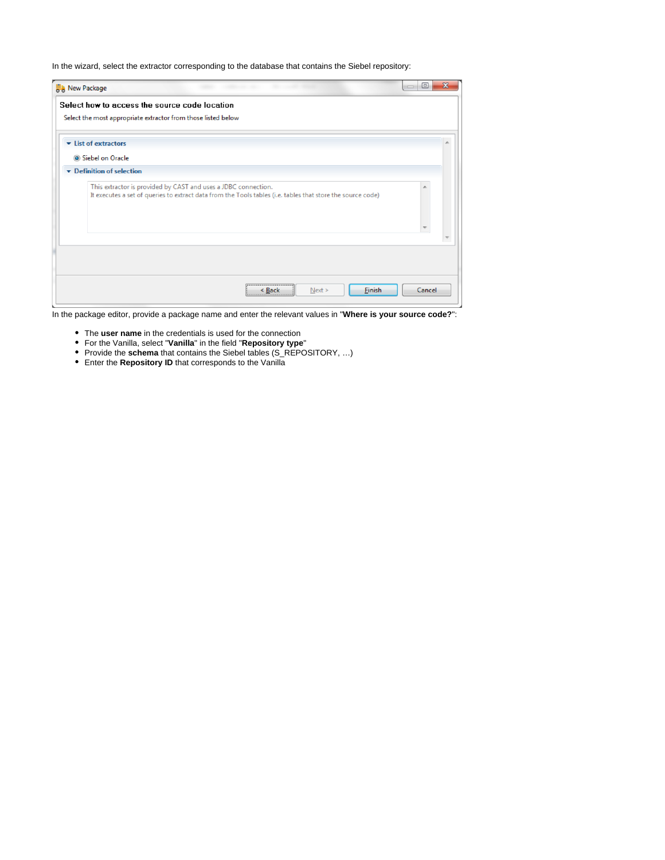In the wizard, select the extractor corresponding to the database that contains the Siebel repository:

| ▣<br><b>B</b> <sup>b</sup> New Package<br>$\Box$<br>Select how to access the source code location<br>Select the most appropriate extractor from those listed below            | $\mathbf{x}$ |
|-------------------------------------------------------------------------------------------------------------------------------------------------------------------------------|--------------|
| $\blacktriangleright$ List of extractors                                                                                                                                      |              |
| Siebel on Oracle<br>$\blacktriangleright$ Definition of selection                                                                                                             |              |
| This extractor is provided by CAST and uses a JDBC connection.<br>It executes a set of queries to extract data from the Tools tables (i.e. tables that store the source code) |              |
|                                                                                                                                                                               |              |
| Finish<br>Cancel<br>Next<br>< Back                                                                                                                                            |              |

In the package editor, provide a package name and enter the relevant values in "**Where is your source code?**":

- The **user name** in the credentials is used for the connection
- For the Vanilla, select "**Vanilla**" in the field "**Repository type**"
- Provide the **schema** that contains the Siebel tables (S\_REPOSITORY, …)
- Enter the **Repository ID** that corresponds to the Vanilla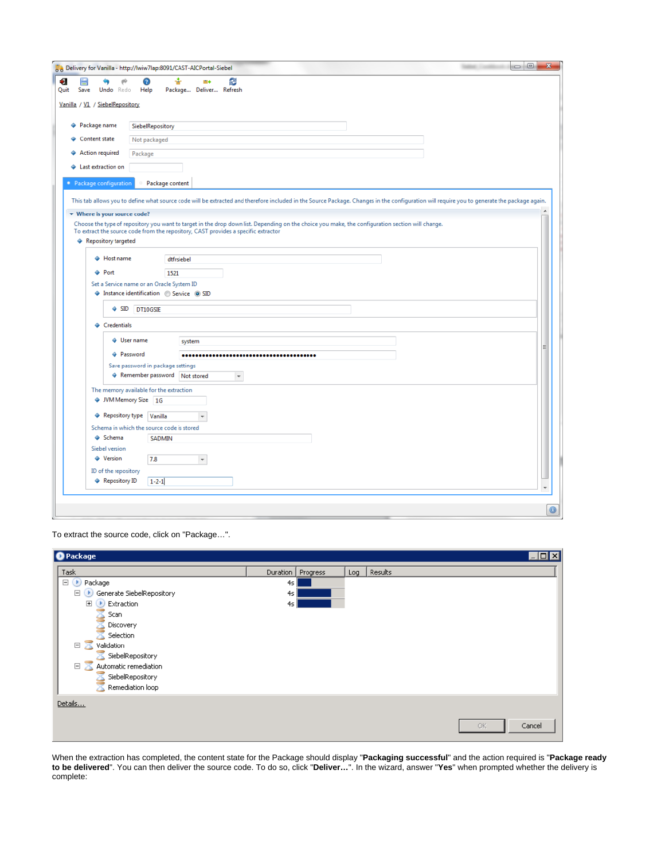| ÷<br>e<br>Ð<br>❼<br>⊨<br>ø<br>面る<br>Help<br>Package Deliver Refresh<br>Quit<br>Save<br>Undo<br>Redo<br>Vanilla / V1 / SiebelRepository<br><b>Package name</b><br>SiebelRepository<br>Content state<br>Not packaged<br>Action required<br>Package<br>Last extraction on<br>· Package configuration<br>Package content<br>This tab allows you to define what source code will be extracted and therefore included in the Source Package. Changes in the configuration will require you to generate the package again.<br>• Where is your source code?<br>Choose the type of repository you want to target in the drop down list. Depending on the choice you make, the configuration section will change.<br>To extract the source code from the repository, CAST provides a specific extractor<br>Repository targeted<br>Host name<br>dtfrsiebel<br><b>+</b> Port<br>1521<br>Set a Service name or an Oracle System ID<br>Service OSID Simulation Service OSID<br>SID DT10GSIE<br>Credentials<br>Ser name<br>system<br><b>+ Password</b><br><br>Save password in package settings<br>Remember password Not stored<br>$\overline{\phantom{a}}$<br>The memory available for the extraction | $\mathbf{x}$ |
|-----------------------------------------------------------------------------------------------------------------------------------------------------------------------------------------------------------------------------------------------------------------------------------------------------------------------------------------------------------------------------------------------------------------------------------------------------------------------------------------------------------------------------------------------------------------------------------------------------------------------------------------------------------------------------------------------------------------------------------------------------------------------------------------------------------------------------------------------------------------------------------------------------------------------------------------------------------------------------------------------------------------------------------------------------------------------------------------------------------------------------------------------------------------------------------------|--------------|
|                                                                                                                                                                                                                                                                                                                                                                                                                                                                                                                                                                                                                                                                                                                                                                                                                                                                                                                                                                                                                                                                                                                                                                                         |              |
|                                                                                                                                                                                                                                                                                                                                                                                                                                                                                                                                                                                                                                                                                                                                                                                                                                                                                                                                                                                                                                                                                                                                                                                         |              |
|                                                                                                                                                                                                                                                                                                                                                                                                                                                                                                                                                                                                                                                                                                                                                                                                                                                                                                                                                                                                                                                                                                                                                                                         |              |
|                                                                                                                                                                                                                                                                                                                                                                                                                                                                                                                                                                                                                                                                                                                                                                                                                                                                                                                                                                                                                                                                                                                                                                                         |              |
|                                                                                                                                                                                                                                                                                                                                                                                                                                                                                                                                                                                                                                                                                                                                                                                                                                                                                                                                                                                                                                                                                                                                                                                         |              |
|                                                                                                                                                                                                                                                                                                                                                                                                                                                                                                                                                                                                                                                                                                                                                                                                                                                                                                                                                                                                                                                                                                                                                                                         |              |
|                                                                                                                                                                                                                                                                                                                                                                                                                                                                                                                                                                                                                                                                                                                                                                                                                                                                                                                                                                                                                                                                                                                                                                                         |              |
|                                                                                                                                                                                                                                                                                                                                                                                                                                                                                                                                                                                                                                                                                                                                                                                                                                                                                                                                                                                                                                                                                                                                                                                         |              |
|                                                                                                                                                                                                                                                                                                                                                                                                                                                                                                                                                                                                                                                                                                                                                                                                                                                                                                                                                                                                                                                                                                                                                                                         |              |
|                                                                                                                                                                                                                                                                                                                                                                                                                                                                                                                                                                                                                                                                                                                                                                                                                                                                                                                                                                                                                                                                                                                                                                                         |              |
|                                                                                                                                                                                                                                                                                                                                                                                                                                                                                                                                                                                                                                                                                                                                                                                                                                                                                                                                                                                                                                                                                                                                                                                         |              |
|                                                                                                                                                                                                                                                                                                                                                                                                                                                                                                                                                                                                                                                                                                                                                                                                                                                                                                                                                                                                                                                                                                                                                                                         |              |
|                                                                                                                                                                                                                                                                                                                                                                                                                                                                                                                                                                                                                                                                                                                                                                                                                                                                                                                                                                                                                                                                                                                                                                                         |              |
|                                                                                                                                                                                                                                                                                                                                                                                                                                                                                                                                                                                                                                                                                                                                                                                                                                                                                                                                                                                                                                                                                                                                                                                         |              |
|                                                                                                                                                                                                                                                                                                                                                                                                                                                                                                                                                                                                                                                                                                                                                                                                                                                                                                                                                                                                                                                                                                                                                                                         |              |
|                                                                                                                                                                                                                                                                                                                                                                                                                                                                                                                                                                                                                                                                                                                                                                                                                                                                                                                                                                                                                                                                                                                                                                                         |              |
|                                                                                                                                                                                                                                                                                                                                                                                                                                                                                                                                                                                                                                                                                                                                                                                                                                                                                                                                                                                                                                                                                                                                                                                         |              |
|                                                                                                                                                                                                                                                                                                                                                                                                                                                                                                                                                                                                                                                                                                                                                                                                                                                                                                                                                                                                                                                                                                                                                                                         |              |
|                                                                                                                                                                                                                                                                                                                                                                                                                                                                                                                                                                                                                                                                                                                                                                                                                                                                                                                                                                                                                                                                                                                                                                                         |              |
|                                                                                                                                                                                                                                                                                                                                                                                                                                                                                                                                                                                                                                                                                                                                                                                                                                                                                                                                                                                                                                                                                                                                                                                         |              |
|                                                                                                                                                                                                                                                                                                                                                                                                                                                                                                                                                                                                                                                                                                                                                                                                                                                                                                                                                                                                                                                                                                                                                                                         |              |
|                                                                                                                                                                                                                                                                                                                                                                                                                                                                                                                                                                                                                                                                                                                                                                                                                                                                                                                                                                                                                                                                                                                                                                                         |              |
|                                                                                                                                                                                                                                                                                                                                                                                                                                                                                                                                                                                                                                                                                                                                                                                                                                                                                                                                                                                                                                                                                                                                                                                         |              |
|                                                                                                                                                                                                                                                                                                                                                                                                                                                                                                                                                                                                                                                                                                                                                                                                                                                                                                                                                                                                                                                                                                                                                                                         |              |
| ♦ JVM Memory Size 1G                                                                                                                                                                                                                                                                                                                                                                                                                                                                                                                                                                                                                                                                                                                                                                                                                                                                                                                                                                                                                                                                                                                                                                    |              |
| Repository type Vanilla<br>$\overline{\phantom{a}}$                                                                                                                                                                                                                                                                                                                                                                                                                                                                                                                                                                                                                                                                                                                                                                                                                                                                                                                                                                                                                                                                                                                                     |              |
| Schema in which the source code is stored                                                                                                                                                                                                                                                                                                                                                                                                                                                                                                                                                                                                                                                                                                                                                                                                                                                                                                                                                                                                                                                                                                                                               |              |
| <b>◆ Schema</b><br>SADMIN                                                                                                                                                                                                                                                                                                                                                                                                                                                                                                                                                                                                                                                                                                                                                                                                                                                                                                                                                                                                                                                                                                                                                               |              |
| Siebel version                                                                                                                                                                                                                                                                                                                                                                                                                                                                                                                                                                                                                                                                                                                                                                                                                                                                                                                                                                                                                                                                                                                                                                          |              |
| ♦ Version<br>7.8<br>$\cdot$                                                                                                                                                                                                                                                                                                                                                                                                                                                                                                                                                                                                                                                                                                                                                                                                                                                                                                                                                                                                                                                                                                                                                             |              |
| ID of the repository                                                                                                                                                                                                                                                                                                                                                                                                                                                                                                                                                                                                                                                                                                                                                                                                                                                                                                                                                                                                                                                                                                                                                                    |              |
| Repository ID<br>$1 - 2 - 1$                                                                                                                                                                                                                                                                                                                                                                                                                                                                                                                                                                                                                                                                                                                                                                                                                                                                                                                                                                                                                                                                                                                                                            |              |
|                                                                                                                                                                                                                                                                                                                                                                                                                                                                                                                                                                                                                                                                                                                                                                                                                                                                                                                                                                                                                                                                                                                                                                                         |              |
|                                                                                                                                                                                                                                                                                                                                                                                                                                                                                                                                                                                                                                                                                                                                                                                                                                                                                                                                                                                                                                                                                                                                                                                         | $\bf{0}$     |

To extract the source code, click on "Package…".

| <b>O</b> Package                  |                   |  | <b>LOX</b>          |
|-----------------------------------|-------------------|--|---------------------|
| Task                              | Duration Progress |  | $Log$ Results       |
| □ ▶ Package                       | 4s                |  |                     |
| Generate SiebelRepository         | 4 <sub>5</sub>    |  |                     |
| Extraction<br>$\boxplus$          | 45                |  |                     |
| Scan                              |                   |  |                     |
| Discovery                         |                   |  |                     |
| Selection                         |                   |  |                     |
| R<br>$\equiv$<br>Validation       |                   |  |                     |
| SiebelRepository                  |                   |  |                     |
| $\equiv$<br>Automatic remediation |                   |  |                     |
| SiebelRepository                  |                   |  |                     |
| Remediation loop                  |                   |  |                     |
| Details                           |                   |  |                     |
|                                   |                   |  |                     |
|                                   |                   |  | Cancel<br><b>OK</b> |

When the extraction has completed, the content state for the Package should display "**Packaging successful**" and the action required is "**Package ready to be delivered**". You can then deliver the source code. To do so, click "**Deliver…**". In the wizard, answer "**Yes**" when prompted whether the delivery is complete: